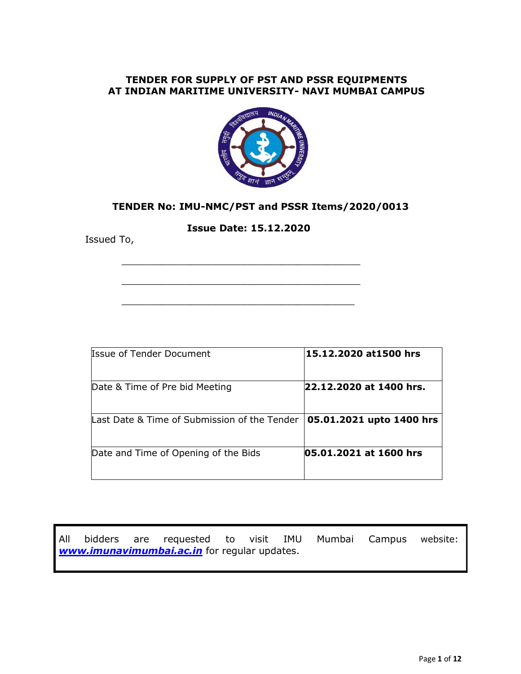## **TENDER FOR SUPPLY OF PST AND PSSR EQUIPMENTS AT INDIAN MARITIME UNIVERSITY- NAVI MUMBAI CAMPUS**



## **TENDER No: IMU-NMC/PST and PSSR Items/2020/0013**

#### **Issue Date: 15.12.2020**

\_\_\_\_\_\_\_\_\_\_\_\_\_\_\_\_\_\_\_\_\_\_\_\_\_\_\_\_\_\_\_\_\_\_\_\_\_\_\_\_\_\_

\_\_\_\_\_\_\_\_\_\_\_\_\_\_\_\_\_\_\_\_\_\_\_\_\_\_\_\_\_\_\_\_\_\_\_\_\_\_\_\_\_\_

\_\_\_\_\_\_\_\_\_\_\_\_\_\_\_\_\_\_\_\_\_\_\_\_\_\_\_\_\_\_\_\_\_\_\_\_\_\_\_\_\_

Issued To,

| <b>Issue of Tender Document</b>              | 15.12.2020 at 1500 hrs   |
|----------------------------------------------|--------------------------|
| Date & Time of Pre bid Meeting               | 22.12.2020 at 1400 hrs.  |
| Last Date & Time of Submission of the Tender | 05.01.2021 upto 1400 hrs |
| Date and Time of Opening of the Bids         | 05.01.2021 at 1600 hrs   |

All bidders are requested to visit IMU Mumbai Campus website: *[www.imunavimumbai.ac.in](http://www.imunavimumbai.ac.in/)* for regular updates.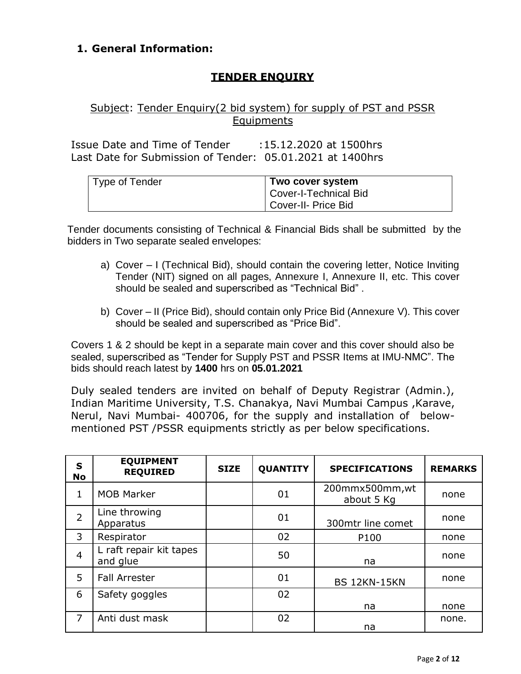# **1. General Information:**

# **TENDER ENQUIRY**

# Subject: Tender Enquiry(2 bid system) for supply of PST and PSSR Equipments

Issue Date and Time of Tender :15.12.2020 at 1500hrs Last Date for Submission of Tender: 05.01.2021 at 1400hrs

| Type of Tender | Two cover system      |
|----------------|-----------------------|
|                | Cover-I-Technical Bid |
|                | Cover-II- Price Bid   |

Tender documents consisting of Technical & Financial Bids shall be submitted by the bidders in Two separate sealed envelopes:

- a) Cover I (Technical Bid), should contain the covering letter, Notice Inviting Tender (NIT) signed on all pages, Annexure I, Annexure II, etc. This cover should be sealed and superscribed as "Technical Bid" .
- b) Cover II (Price Bid), should contain only Price Bid (Annexure V). This cover should be sealed and superscribed as "Price Bid".

Covers 1 & 2 should be kept in a separate main cover and this cover should also be sealed, superscribed as "Tender for Supply PST and PSSR Items at IMU-NMC". The bids should reach latest by **1400** hrs on **05.01.2021**

Duly sealed tenders are invited on behalf of Deputy Registrar (Admin.), Indian Maritime University, T.S. Chanakya, Navi Mumbai Campus ,Karave, Nerul, Navi Mumbai- 400706, for the supply and installation of belowmentioned PST /PSSR equipments strictly as per below specifications.

| S<br><b>No</b> | <b>EQUIPMENT</b><br><b>REQUIRED</b> | <b>SIZE</b> | <b>QUANTITY</b> | <b>SPECIFICATIONS</b>        | <b>REMARKS</b> |
|----------------|-------------------------------------|-------------|-----------------|------------------------------|----------------|
| 1              | <b>MOB Marker</b>                   |             | 01              | 200mmx500mm,wt<br>about 5 Kg | none           |
| $\overline{2}$ | Line throwing<br>Apparatus          |             | 01              | 300mtr line comet            | none           |
| 3              | Respirator                          |             | 02              | P100                         | none           |
| $\overline{4}$ | L raft repair kit tapes<br>and glue |             | 50              | na                           | none           |
| 5              | <b>Fall Arrester</b>                |             | 01              | <b>BS 12KN-15KN</b>          | none           |
| 6              | Safety goggles                      |             | 02              |                              |                |
|                |                                     |             |                 | na                           | none           |
| $\overline{7}$ | Anti dust mask                      |             | 02              | na                           | none.          |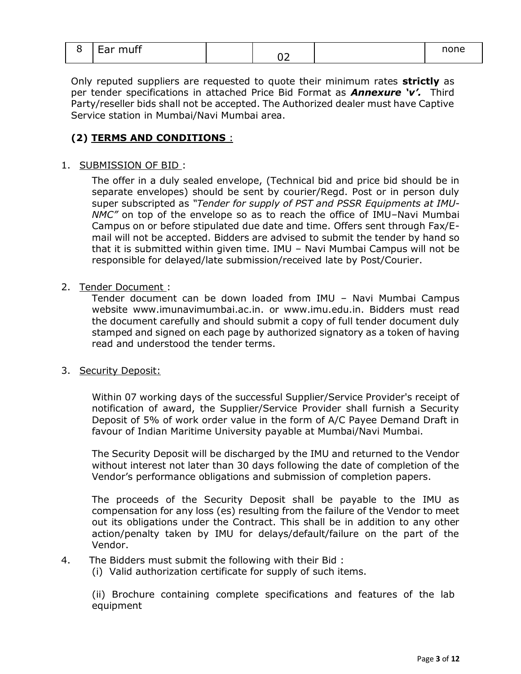| Ear muff |    | none |
|----------|----|------|
|          | ◡▵ |      |

Only reputed suppliers are requested to quote their minimum rates **strictly** as per tender specifications in attached Price Bid Format as *Annexure 'v'.* Third Party/reseller bids shall not be accepted. The Authorized dealer must have Captive Service station in Mumbai/Navi Mumbai area.

## **(2) TERMS AND CONDITIONS** :

## 1. SUBMISSION OF BID :

The offer in a duly sealed envelope, (Technical bid and price bid should be in separate envelopes) should be sent by courier/Regd. Post or in person duly super subscripted as *"Tender for supply of PST and PSSR Equipments at IMU-NMC"* on top of the envelope so as to reach the office of IMU–Navi Mumbai Campus on or before stipulated due date and time. Offers sent through Fax/Email will not be accepted. Bidders are advised to submit the tender by hand so that it is submitted within given time. IMU – Navi Mumbai Campus will not be responsible for delayed/late submission/received late by Post/Courier.

#### 2. Tender Document :

Tender document can be down loaded from IMU – Navi Mumbai Campus website [www.imunavimumbai.ac.in.](http://www.imunavimumbai.ac.in/) or www.imu.edu.in. Bidders must read the document carefully and should submit a copy of full tender document duly stamped and signed on each page by authorized signatory as a token of having read and understood the tender terms.

## 3. Security Deposit:

Within 07 working days of the successful Supplier/Service Provider's receipt of notification of award, the Supplier/Service Provider shall furnish a Security Deposit of 5% of work order value in the form of A/C Payee Demand Draft in favour of Indian Maritime University payable at Mumbai/Navi Mumbai.

The Security Deposit will be discharged by the IMU and returned to the Vendor without interest not later than 30 days following the date of completion of the Vendor's performance obligations and submission of completion papers.

The proceeds of the Security Deposit shall be payable to the IMU as compensation for any loss (es) resulting from the failure of the Vendor to meet out its obligations under the Contract. This shall be in addition to any other action/penalty taken by IMU for delays/default/failure on the part of the Vendor.

- 4. The Bidders must submit the following with their Bid :
	- (i) Valid authorization certificate for supply of such items.

(ii) Brochure containing complete specifications and features of the lab equipment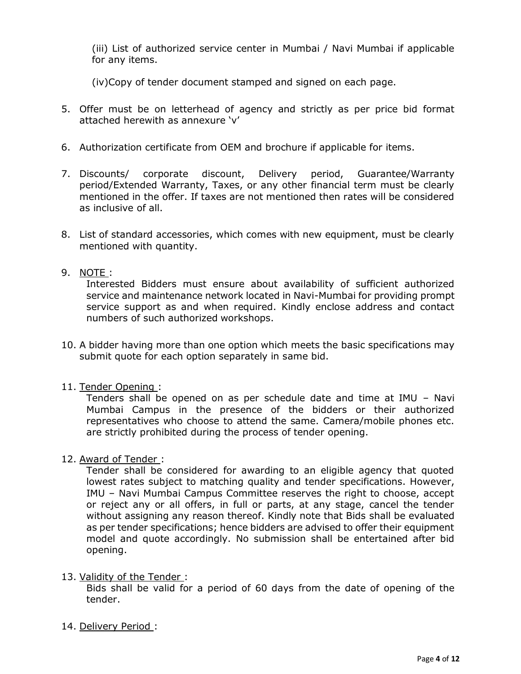(iii) List of authorized service center in Mumbai / Navi Mumbai if applicable for any items.

(iv)Copy of tender document stamped and signed on each page.

- 5. Offer must be on letterhead of agency and strictly as per price bid format attached herewith as annexure 'v'
- 6. Authorization certificate from OEM and brochure if applicable for items.
- 7. Discounts/ corporate discount, Delivery period, Guarantee/Warranty period/Extended Warranty, Taxes, or any other financial term must be clearly mentioned in the offer. If taxes are not mentioned then rates will be considered as inclusive of all.
- 8. List of standard accessories, which comes with new equipment, must be clearly mentioned with quantity.

## 9. NOTE :

Interested Bidders must ensure about availability of sufficient authorized service and maintenance network located in Navi-Mumbai for providing prompt service support as and when required. Kindly enclose address and contact numbers of such authorized workshops.

- 10. A bidder having more than one option which meets the basic specifications may submit quote for each option separately in same bid.
- 11. Tender Opening :

Tenders shall be opened on as per schedule date and time at IMU – Navi Mumbai Campus in the presence of the bidders or their authorized representatives who choose to attend the same. Camera/mobile phones etc. are strictly prohibited during the process of tender opening.

12. Award of Tender :

Tender shall be considered for awarding to an eligible agency that quoted lowest rates subject to matching quality and tender specifications. However, IMU – Navi Mumbai Campus Committee reserves the right to choose, accept or reject any or all offers, in full or parts, at any stage, cancel the tender without assigning any reason thereof. Kindly note that Bids shall be evaluated as per tender specifications; hence bidders are advised to offer their equipment model and quote accordingly. No submission shall be entertained after bid opening.

13. Validity of the Tender :

Bids shall be valid for a period of 60 days from the date of opening of the tender.

14. Delivery Period :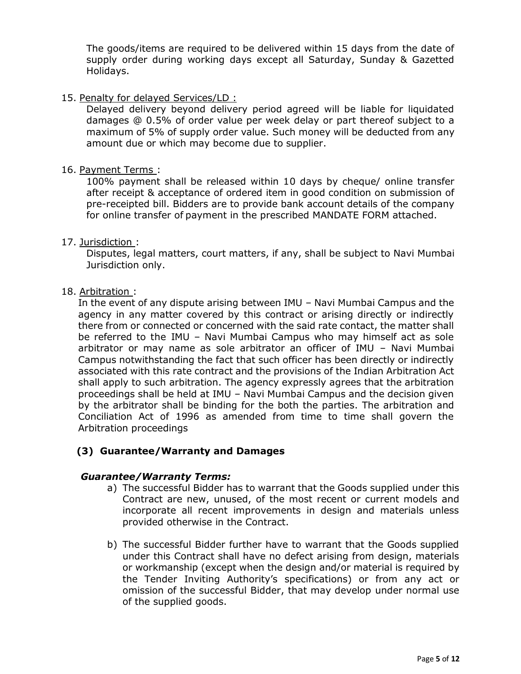The goods/items are required to be delivered within 15 days from the date of supply order during working days except all Saturday, Sunday & Gazetted Holidays.

## 15. Penalty for delayed Services/LD :

Delayed delivery beyond delivery period agreed will be liable for liquidated damages @ 0.5% of order value per week delay or part thereof subject to a maximum of 5% of supply order value. Such money will be deducted from any amount due or which may become due to supplier.

## 16. Payment Terms :

100% payment shall be released within 10 days by cheque/ online transfer after receipt & acceptance of ordered item in good condition on submission of pre-receipted bill. Bidders are to provide bank account details of the company for online transfer of payment in the prescribed MANDATE FORM attached.

## 17. Jurisdiction :

Disputes, legal matters, court matters, if any, shall be subject to Navi Mumbai Jurisdiction only.

#### 18. Arbitration :

In the event of any dispute arising between IMU – Navi Mumbai Campus and the agency in any matter covered by this contract or arising directly or indirectly there from or connected or concerned with the said rate contact, the matter shall be referred to the IMU – Navi Mumbai Campus who may himself act as sole arbitrator or may name as sole arbitrator an officer of IMU – Navi Mumbai Campus notwithstanding the fact that such officer has been directly or indirectly associated with this rate contract and the provisions of the Indian Arbitration Act shall apply to such arbitration. The agency expressly agrees that the arbitration proceedings shall be held at IMU – Navi Mumbai Campus and the decision given by the arbitrator shall be binding for the both the parties. The arbitration and Conciliation Act of 1996 as amended from time to time shall govern the Arbitration proceedings

## **(3) Guarantee/Warranty and Damages**

## *Guarantee/Warranty Terms:*

- a) The successful Bidder has to warrant that the Goods supplied under this Contract are new, unused, of the most recent or current models and incorporate all recent improvements in design and materials unless provided otherwise in the Contract.
- b) The successful Bidder further have to warrant that the Goods supplied under this Contract shall have no defect arising from design, materials or workmanship (except when the design and/or material is required by the Tender Inviting Authority's specifications) or from any act or omission of the successful Bidder, that may develop under normal use of the supplied goods.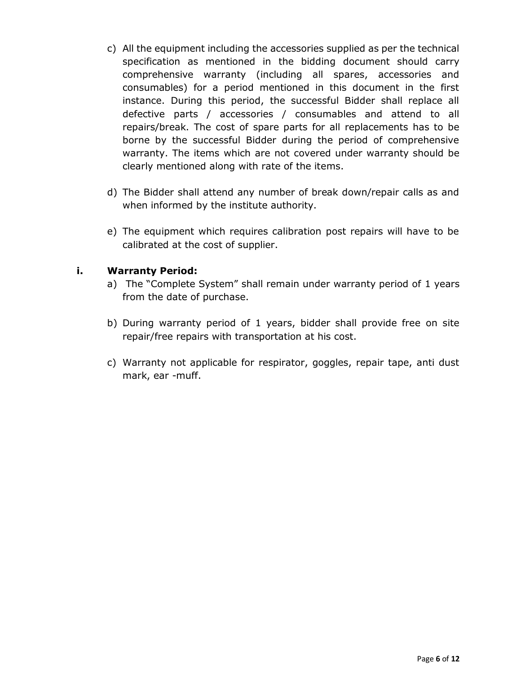- c) All the equipment including the accessories supplied as per the technical specification as mentioned in the bidding document should carry comprehensive warranty (including all spares, accessories and consumables) for a period mentioned in this document in the first instance. During this period, the successful Bidder shall replace all defective parts / accessories / consumables and attend to all repairs/break. The cost of spare parts for all replacements has to be borne by the successful Bidder during the period of comprehensive warranty. The items which are not covered under warranty should be clearly mentioned along with rate of the items.
- d) The Bidder shall attend any number of break down/repair calls as and when informed by the institute authority.
- e) The equipment which requires calibration post repairs will have to be calibrated at the cost of supplier.

## **i. Warranty Period:**

- a) The "Complete System" shall remain under warranty period of 1 years from the date of purchase.
- b) During warranty period of 1 years, bidder shall provide free on site repair/free repairs with transportation at his cost.
- c) Warranty not applicable for respirator, goggles, repair tape, anti dust mark, ear -muff.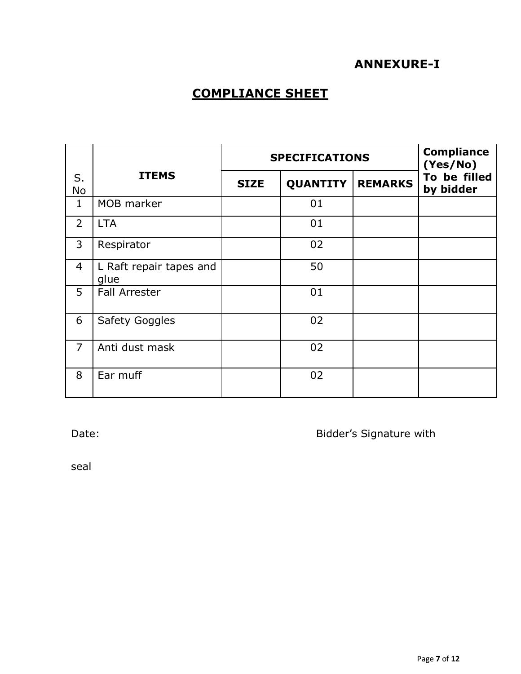# **ANNEXURE-I**

# **COMPLIANCE SHEET**

|                |                                 | <b>SPECIFICATIONS</b> |                 |                | <b>Compliance</b><br>(Yes/No) |
|----------------|---------------------------------|-----------------------|-----------------|----------------|-------------------------------|
| S.<br>No       | <b>ITEMS</b>                    | <b>SIZE</b>           | <b>QUANTITY</b> | <b>REMARKS</b> | To be filled<br>by bidder     |
| $\mathbf{1}$   | MOB marker                      |                       | 01              |                |                               |
| $\overline{2}$ | <b>LTA</b>                      |                       | 01              |                |                               |
| 3              | Respirator                      |                       | 02              |                |                               |
| $\overline{4}$ | L Raft repair tapes and<br>glue |                       | 50              |                |                               |
| 5              | <b>Fall Arrester</b>            |                       | 01              |                |                               |
| 6              | Safety Goggles                  |                       | 02              |                |                               |
| $\overline{7}$ | Anti dust mask                  |                       | 02              |                |                               |
| 8              | Ear muff                        |                       | 02              |                |                               |

Date: Date: **Bidder's Signature with** 

seal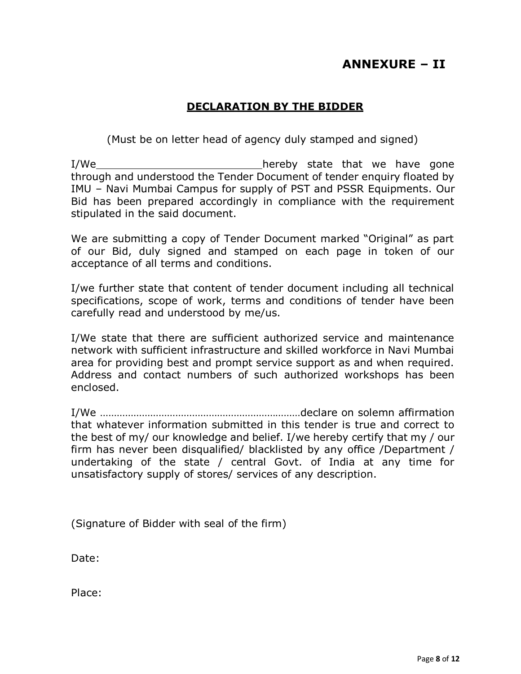# **ANNEXURE – II**

# **DECLARATION BY THE BIDDER**

(Must be on letter head of agency duly stamped and signed)

I/We **hereby** state that we have gone through and understood the Tender Document of tender enquiry floated by IMU – Navi Mumbai Campus for supply of PST and PSSR Equipments. Our Bid has been prepared accordingly in compliance with the requirement stipulated in the said document.

We are submitting a copy of Tender Document marked "Original" as part of our Bid, duly signed and stamped on each page in token of our acceptance of all terms and conditions.

I/we further state that content of tender document including all technical specifications, scope of work, terms and conditions of tender have been carefully read and understood by me/us.

I/We state that there are sufficient authorized service and maintenance network with sufficient infrastructure and skilled workforce in Navi Mumbai area for providing best and prompt service support as and when required. Address and contact numbers of such authorized workshops has been enclosed.

I/We ………………………………………………………………declare on solemn affirmation that whatever information submitted in this tender is true and correct to the best of my/ our knowledge and belief. I/we hereby certify that my / our firm has never been disqualified/ blacklisted by any office /Department / undertaking of the state / central Govt. of India at any time for unsatisfactory supply of stores/ services of any description.

(Signature of Bidder with seal of the firm)

Date:

Place: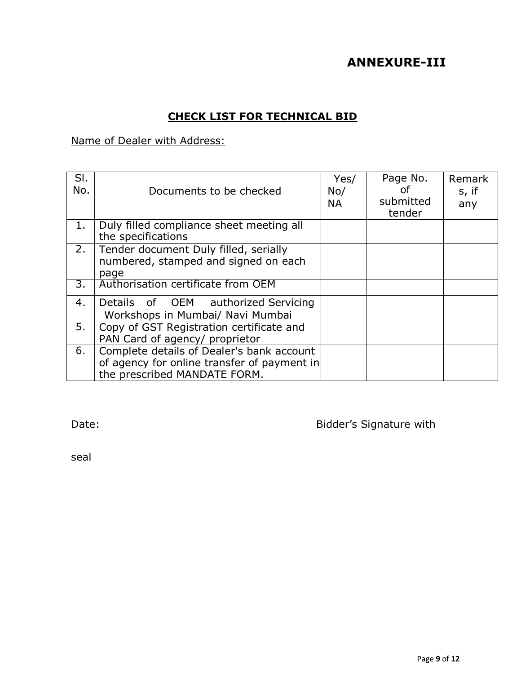# **ANNEXURE-III**

# **CHECK LIST FOR TECHNICAL BID**

Name of Dealer with Address:

| SI.<br>No. | Documents to be checked                                                                                                  | Yes/<br>No/<br><b>NA</b> | Page No.<br>οf<br>submitted<br>tender | Remark<br>s, if<br>any |
|------------|--------------------------------------------------------------------------------------------------------------------------|--------------------------|---------------------------------------|------------------------|
| 1.         | Duly filled compliance sheet meeting all<br>the specifications                                                           |                          |                                       |                        |
| 2.         | Tender document Duly filled, serially<br>numbered, stamped and signed on each<br>page                                    |                          |                                       |                        |
| 3.         | Authorisation certificate from OEM                                                                                       |                          |                                       |                        |
| 4.         | Details of OEM authorized Servicing<br>Workshops in Mumbai/ Navi Mumbai                                                  |                          |                                       |                        |
| 5.         | Copy of GST Registration certificate and<br>PAN Card of agency/ proprietor                                               |                          |                                       |                        |
| 6.         | Complete details of Dealer's bank account<br>of agency for online transfer of payment in<br>the prescribed MANDATE FORM. |                          |                                       |                        |

Date: Date: Bidder's Signature with

seal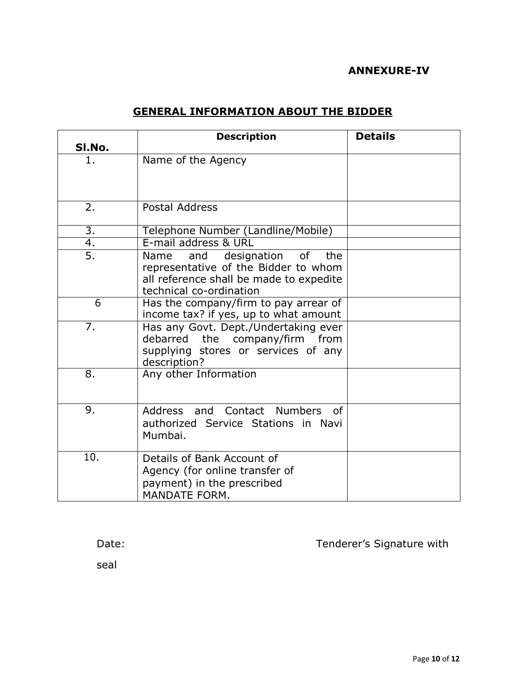## **ANNEXURE-IV**

# **GENERAL INFORMATION ABOUT THE BIDDER**

|                  | <b>Description</b>                                                                                                                           | <b>Details</b> |
|------------------|----------------------------------------------------------------------------------------------------------------------------------------------|----------------|
| SI.No.           |                                                                                                                                              |                |
| 1.               | Name of the Agency                                                                                                                           |                |
| 2.               | Postal Address                                                                                                                               |                |
| $\overline{3}$ . | Telephone Number (Landline/Mobile)                                                                                                           |                |
| 4.               | E-mail address & URL                                                                                                                         |                |
| $\overline{5}$ . | and designation of the<br>Name<br>representative of the Bidder to whom<br>all reference shall be made to expedite<br>technical co-ordination |                |
| $\overline{6}$   | Has the company/firm to pay arrear of<br>income tax? if yes, up to what amount                                                               |                |
| 7.               | Has any Govt. Dept./Undertaking ever<br>debarred<br>the company/firm from<br>supplying stores or services of any<br>description?             |                |
| 8.               | Any other Information                                                                                                                        |                |
| 9.               | Address and Contact Numbers<br><b>of</b><br>authorized Service Stations in Navi<br>Mumbai.                                                   |                |
| 10.              | Details of Bank Account of<br>Agency (for online transfer of<br>payment) in the prescribed<br>MANDATE FORM.                                  |                |

Date: Case of the Contractor of Tenderer's Signature with

seal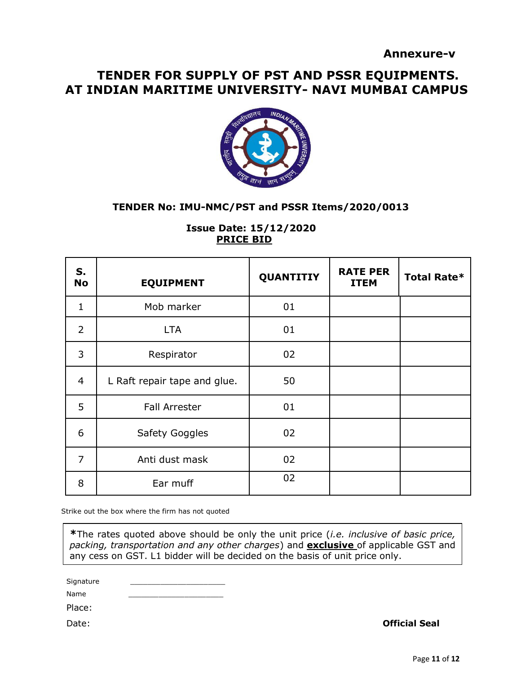**Annexure-v**

# **TENDER FOR SUPPLY OF PST AND PSSR EQUIPMENTS. AT INDIAN MARITIME UNIVERSITY- NAVI MUMBAI CAMPUS**



## **TENDER No: IMU-NMC/PST and PSSR Items/2020/0013**

| S.<br><b>No</b> | <b>EQUIPMENT</b>             | QUANTITIY | <b>RATE PER</b><br><b>ITEM</b> | Total Rate* |
|-----------------|------------------------------|-----------|--------------------------------|-------------|
| $\mathbf{1}$    | Mob marker                   | 01        |                                |             |
| $\overline{2}$  | <b>LTA</b>                   | 01        |                                |             |
| 3               | Respirator                   | 02        |                                |             |
| $\overline{4}$  | L Raft repair tape and glue. | 50        |                                |             |
| 5               | <b>Fall Arrester</b>         | 01        |                                |             |
| 6               | Safety Goggles               | 02        |                                |             |
| $\overline{7}$  | Anti dust mask               | 02        |                                |             |
| 8               | Ear muff                     | 02        |                                |             |

## **Issue Date: 15/12/2020 PRICE BID**

Strike out the box where the firm has not quoted

**\***The rates quoted above should be only the unit price (*i.e. inclusive of basic price, packing, transportation and any other charges*) and **exclusive** of applicable GST and any cess on GST. L1 bidder will be decided on the basis of unit price only.

Signature

Name

Place:

Date: **Official Seal**